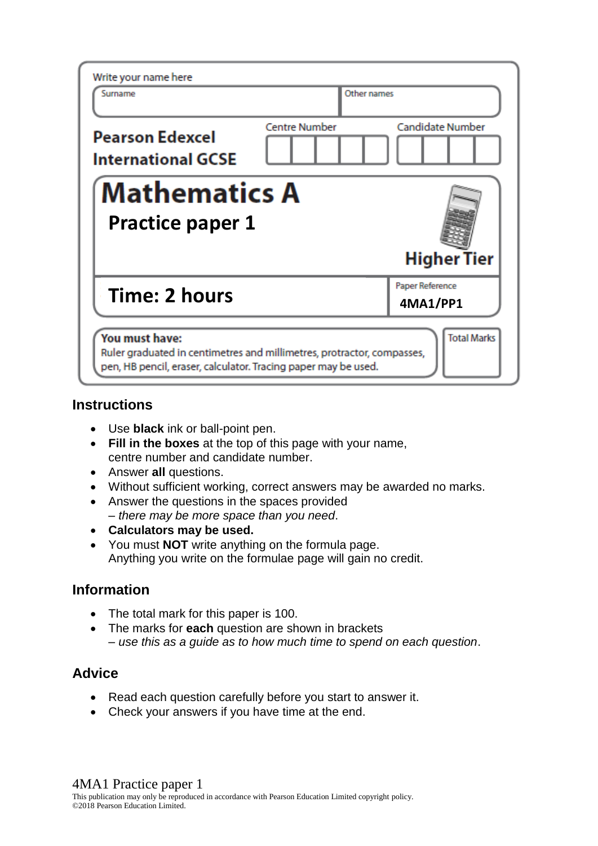| Write your name here<br>Surname                                                                                                                                                  | Other names          |                             |
|----------------------------------------------------------------------------------------------------------------------------------------------------------------------------------|----------------------|-----------------------------|
| <b>Pearson Edexcel</b><br><b>International GCSE</b>                                                                                                                              | <b>Centre Number</b> | Candidate Number            |
| <b>Mathematics A</b><br><b>Practice paper 1</b><br><b>Higher Tier</b>                                                                                                            |                      |                             |
| Time: 2 hours                                                                                                                                                                    |                      | Paper Reference<br>4MA1/PP1 |
| You must have:<br><b>Total Marks</b><br>Ruler graduated in centimetres and millimetres, protractor, compasses,<br>pen, HB pencil, eraser, calculator. Tracing paper may be used. |                      |                             |

## **Instructions**

- Use **black** ink or ball-point pen.
- **Fill in the boxes** at the top of this page with your name, centre number and candidate number.
- Answer **all** questions.
- Without sufficient working, correct answers may be awarded no marks.
- Answer the questions in the spaces provided – *there may be more space than you need*.
- **Calculators may be used.**
- You must **NOT** write anything on the formula page. Anything you write on the formulae page will gain no credit.

# **Information**

- The total mark for this paper is 100.
- The marks for **each** question are shown in brackets – *use this as a guide as to how much time to spend on each question*.

## **Advice**

- Read each question carefully before you start to answer it.
- Check your answers if you have time at the end.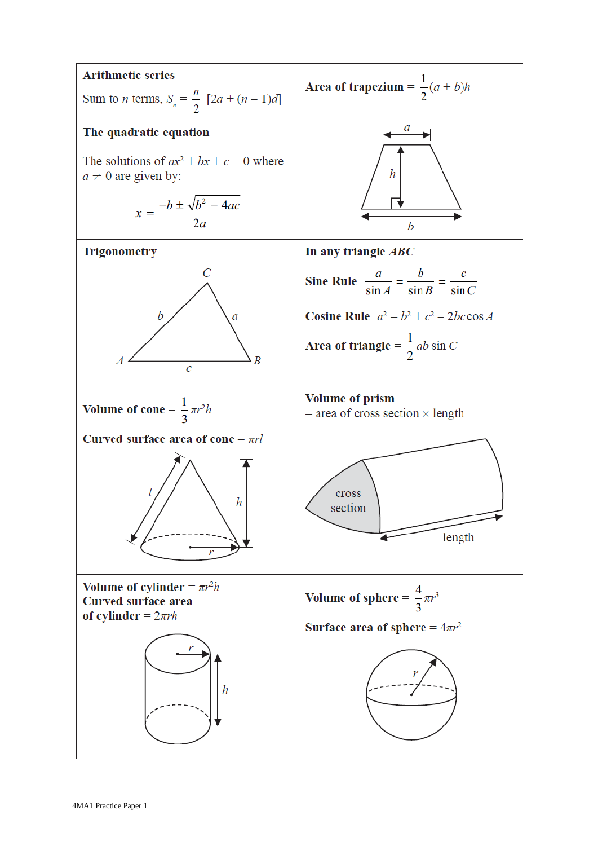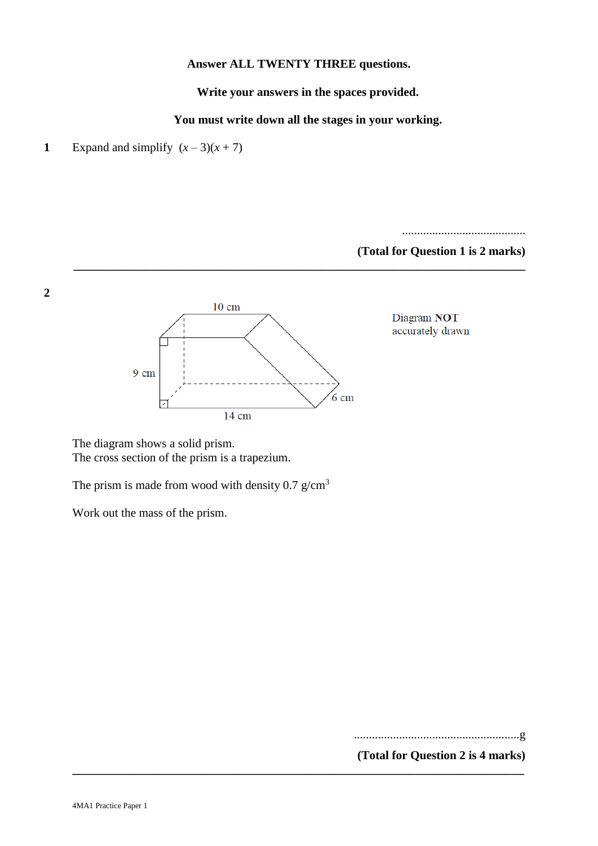#### **Answer ALL TWENTY THREE questions.**

**Write your answers in the spaces provided.**

**You must write down all the stages in your working.**

**\_\_\_\_\_\_\_\_\_\_\_\_\_\_\_\_\_\_\_\_\_\_\_\_\_\_\_\_\_\_\_\_\_\_\_\_\_\_\_\_\_\_\_\_\_\_\_\_\_\_\_\_\_\_\_\_\_\_\_\_\_\_\_\_\_\_\_\_\_\_\_\_\_\_\_**

**\_\_\_\_\_\_\_\_\_\_\_\_\_\_\_\_\_\_\_\_\_\_\_\_\_\_\_\_\_\_\_\_\_\_\_\_\_\_\_\_\_\_\_\_\_\_\_\_\_\_\_\_\_\_\_\_\_\_\_\_\_\_\_\_\_\_\_\_\_\_\_\_\_\_\_**



**2**

.........................................

**(Total for Question 1 is 2 marks)**



Diagram NOT accurately drawn

The diagram shows a solid prism. The cross section of the prism is a trapezium.

The prism is made from wood with density 0.7  $g/cm<sup>3</sup>$ 

Work out the mass of the prism.

.......................................................g

**(Total for Question 2 is 4 marks)**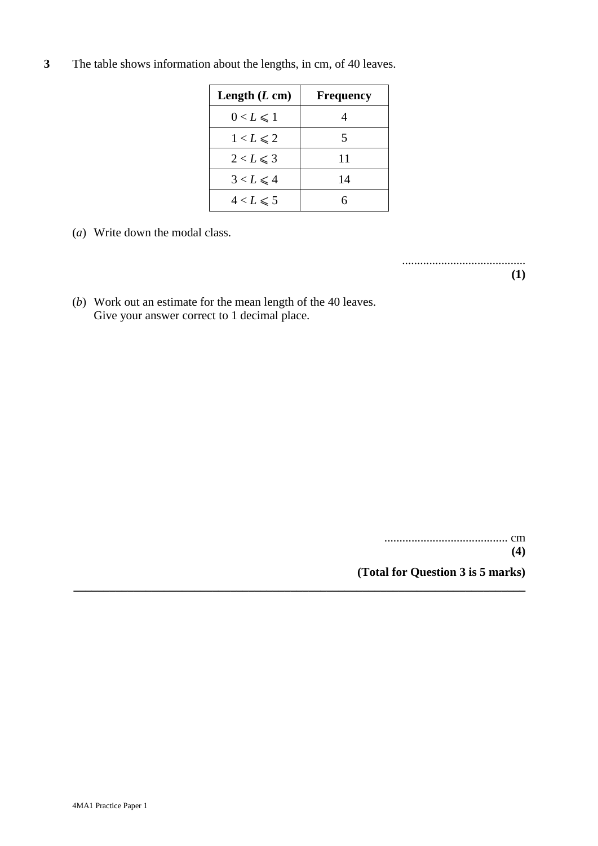**3** The table shows information about the lengths, in cm, of 40 leaves.

| Length $(L \text{ cm})$ | <b>Frequency</b> |
|-------------------------|------------------|
| $0 < L \leq 1$          |                  |
| $1 < L \le 2$           |                  |
| $2 < L \leqslant 3$     | 11               |
| $3 < L \leq 4$          | 14               |
| $4 < L \leqslant 5$     |                  |

**\_\_\_\_\_\_\_\_\_\_\_\_\_\_\_\_\_\_\_\_\_\_\_\_\_\_\_\_\_\_\_\_\_\_\_\_\_\_\_\_\_\_\_\_\_\_\_\_\_\_\_\_\_\_\_\_\_\_\_\_\_\_\_\_\_\_\_\_\_\_\_\_\_\_\_**

(*a*) Write down the modal class.

.........................................

**(1)**

(*b*) Work out an estimate for the mean length of the 40 leaves. Give your answer correct to 1 decimal place.

> ......................................... cm **(4) (Total for Question 3 is 5 marks)**

4MA1 Practice Paper 1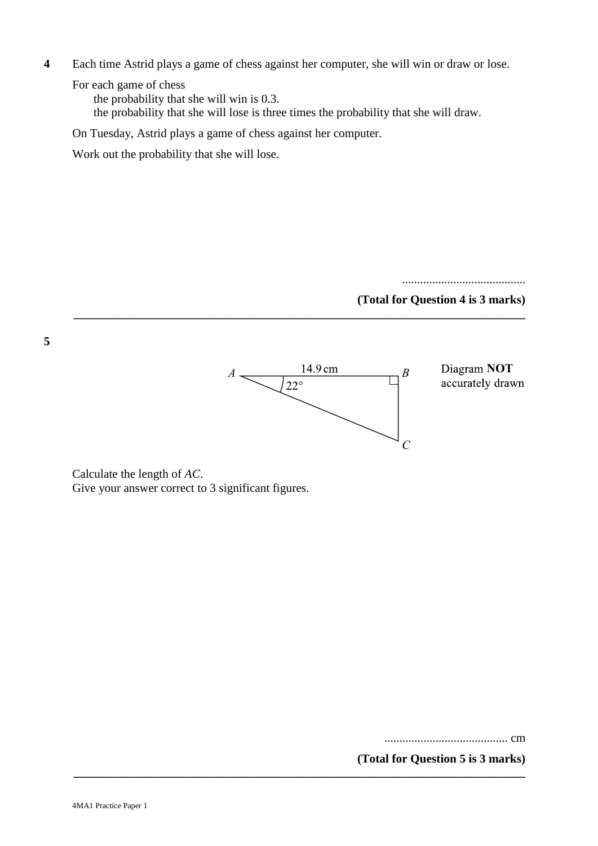**4** Each time Astrid plays a game of chess against her computer, she will win or draw or lose.

For each game of chess

the probability that she will win is 0.3.

the probability that she will lose is three times the probability that she will draw.

**\_\_\_\_\_\_\_\_\_\_\_\_\_\_\_\_\_\_\_\_\_\_\_\_\_\_\_\_\_\_\_\_\_\_\_\_\_\_\_\_\_\_\_\_\_\_\_\_\_\_\_\_\_\_\_\_\_\_\_\_\_\_\_\_\_\_\_\_\_\_\_\_\_\_\_**

On Tuesday, Astrid plays a game of chess against her computer.

Work out the probability that she will lose.

.........................................

#### **(Total for Question 4 is 3 marks)**



*AC* Calculate the length of *AC*. Give your answer correct to 3 significant figures.

**(Total for Question 7 is 3 marks)** ......................................... cm

**(Total for Question 5 is 3 marks)**

**5**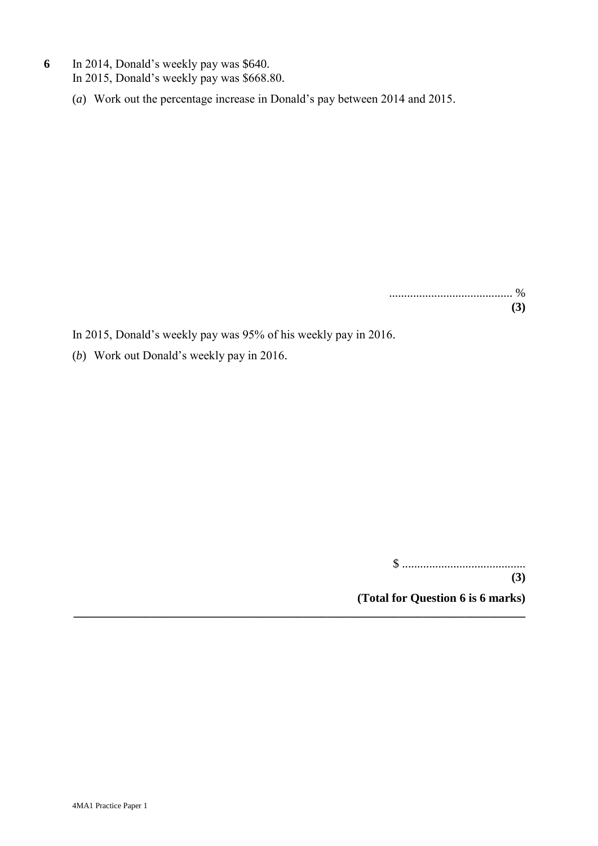- **6** In 2014, Donald's weekly pay was \$640. In 2015, Donald's weekly pay was \$668.80.
	- (*a*) Work out the percentage increase in Donald's pay between 2014 and 2015.

......................................... % **(3)**

In 2015, Donald's weekly pay was 95% of his weekly pay in 2016.

**\_\_\_\_\_\_\_\_\_\_\_\_\_\_\_\_\_\_\_\_\_\_\_\_\_\_\_\_\_\_\_\_\_\_\_\_\_\_\_\_\_\_\_\_\_\_\_\_\_\_\_\_\_\_\_\_\_\_\_\_\_\_\_\_\_\_\_\_\_\_\_\_\_\_\_**

(*b*) Work out Donald's weekly pay in 2016.

\$ .........................................

**(3) (Total for Question 6 is 6 marks)**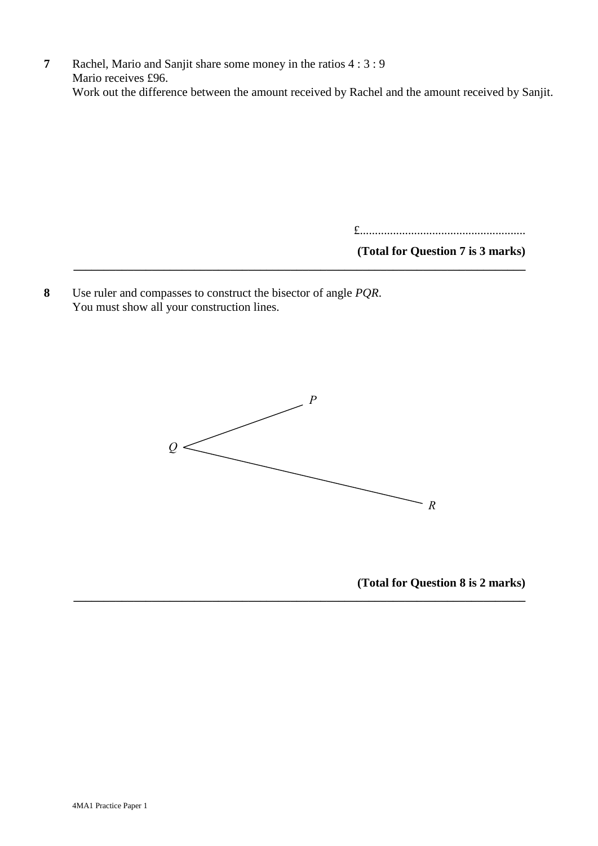**7** Rachel, Mario and Sanjit share some money in the ratios 4 : 3 : 9 Mario receives £96. Work out the difference between the amount received by Rachel and the amount received by Sanjit.

**\_\_\_\_\_\_\_\_\_\_\_\_\_\_\_\_\_\_\_\_\_\_\_\_\_\_\_\_\_\_\_\_\_\_\_\_\_\_\_\_\_\_\_\_\_\_\_\_\_\_\_\_\_\_\_\_\_\_\_\_\_\_\_\_\_\_\_\_\_\_\_\_\_\_\_**

£.......................................................

**(Total for Question 7 is 3 marks)**

**8** Use ruler and compasses to construct the bisector of angle *PQR*. You must show all your construction lines.



**\_\_\_\_\_\_\_\_\_\_\_\_\_\_\_\_\_\_\_\_\_\_\_\_\_\_\_\_\_\_\_\_\_\_\_\_\_\_\_\_\_\_\_\_\_\_\_\_\_\_\_\_\_\_\_\_\_\_\_\_\_\_\_\_\_\_\_\_\_\_\_\_\_\_\_**

**(Total for Question 9 is 2 marks) (Total for Question 8 is 2 marks)**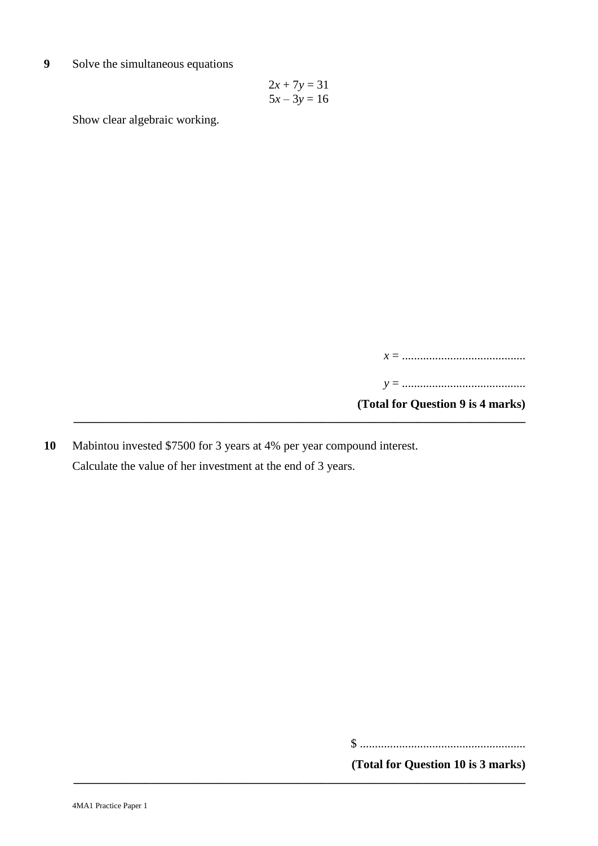**9** Solve the simultaneous equations

$$
2x + 7y = 31
$$

$$
5x - 3y = 16
$$

Show clear algebraic working.

*x* = ......................................... *y* = ......................................... **(Total for Question 9 is 4 marks) \_\_\_\_\_\_\_\_\_\_\_\_\_\_\_\_\_\_\_\_\_\_\_\_\_\_\_\_\_\_\_\_\_\_\_\_\_\_\_\_\_\_\_\_\_\_\_\_\_\_\_\_\_\_\_\_\_\_\_\_\_\_\_\_\_\_\_\_\_\_\_\_\_\_\_**

**10** Mabintou invested \$7500 for 3 years at 4% per year compound interest. Calculate the value of her investment at the end of 3 years.

**\_\_\_\_\_\_\_\_\_\_\_\_\_\_\_\_\_\_\_\_\_\_\_\_\_\_\_\_\_\_\_\_\_\_\_\_\_\_\_\_\_\_\_\_\_\_\_\_\_\_\_\_\_\_\_\_\_\_\_\_\_\_\_\_\_\_\_\_\_\_\_\_\_\_\_**

\$ .......................................................

**(Total for Question 10 is 3 marks)**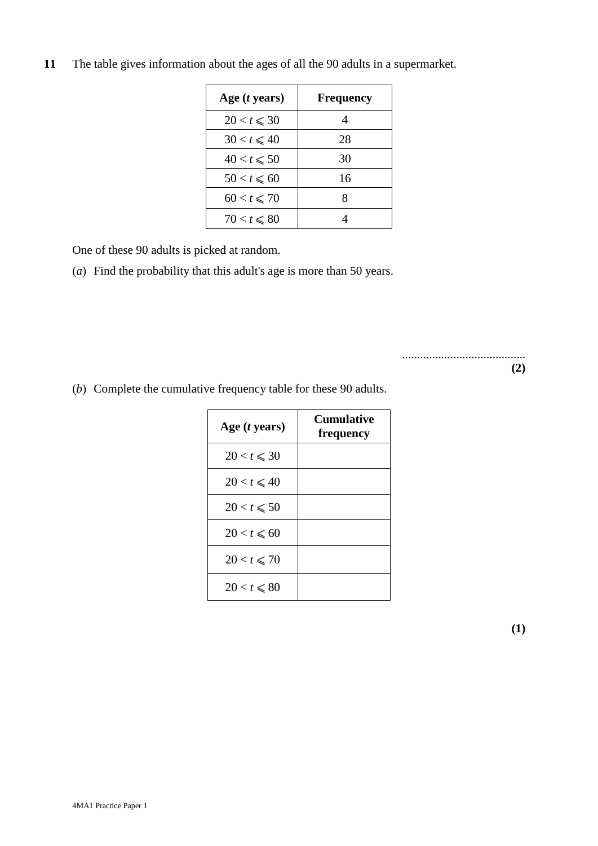| Age $(t$ years)  | <b>Frequency</b> |
|------------------|------------------|
| $20 < t \leq 30$ |                  |
| $30 < t \leq 40$ | 28               |
| $40 < t \le 50$  | 30               |
| $50 < t \le 60$  | 16               |
| $60 < t \le 70$  |                  |
| $70 < t \le 80$  |                  |

**11** The table gives information about the ages of all the 90 adults in a supermarket.

One of these 90 adults is picked at random.

(*a*) Find the probability that this adult's age is more than 50 years.

.........................................

**(2)**

(*b*) Complete the cumulative frequency table for these 90 adults.

| Age $(t$ years)  | Cumulative<br>frequency |
|------------------|-------------------------|
| $20 < t \leq 30$ |                         |
| $20 < t \leq 40$ |                         |
| $20 < t \le 50$  |                         |
| $20 < t \le 60$  |                         |
| $20 < t \le 70$  |                         |
| $20 < t \le 80$  |                         |

**(1)**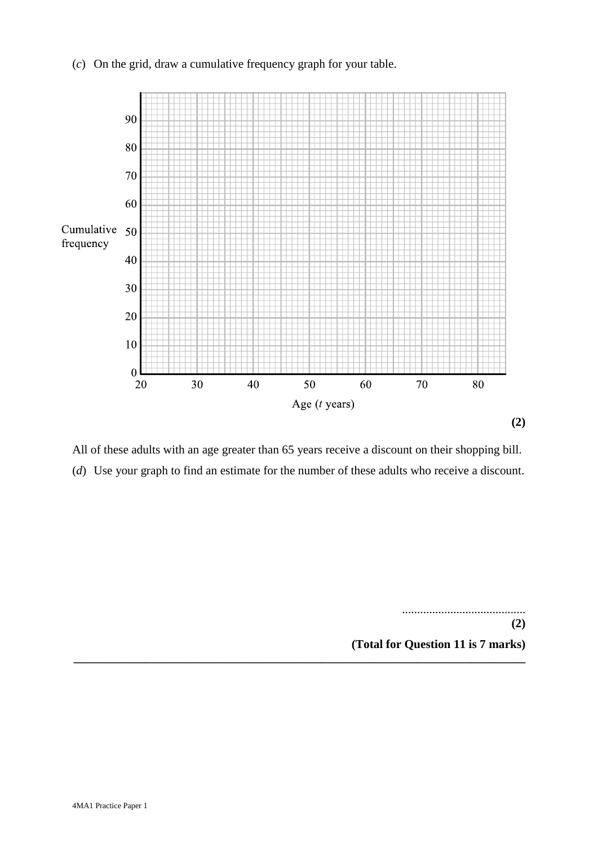### (*c*) On the grid, draw a cumulative frequency graph for your table.



All of these adults with an age greater than 65 years receive a discount on their shopping bill. (*d*) Use your graph to find an estimate for the number of these adults who receive a discount.

**\_\_\_\_\_\_\_\_\_\_\_\_\_\_\_\_\_\_\_\_\_\_\_\_\_\_\_\_\_\_\_\_\_\_\_\_\_\_\_\_\_\_\_\_\_\_\_\_\_\_\_\_\_\_\_\_\_\_\_\_\_\_\_\_\_\_\_\_\_\_\_\_\_\_\_**

**(2)** ......................................... **(Total for Question 11 is 7 marks) (2) (Total for Question 11 is 7 marks)**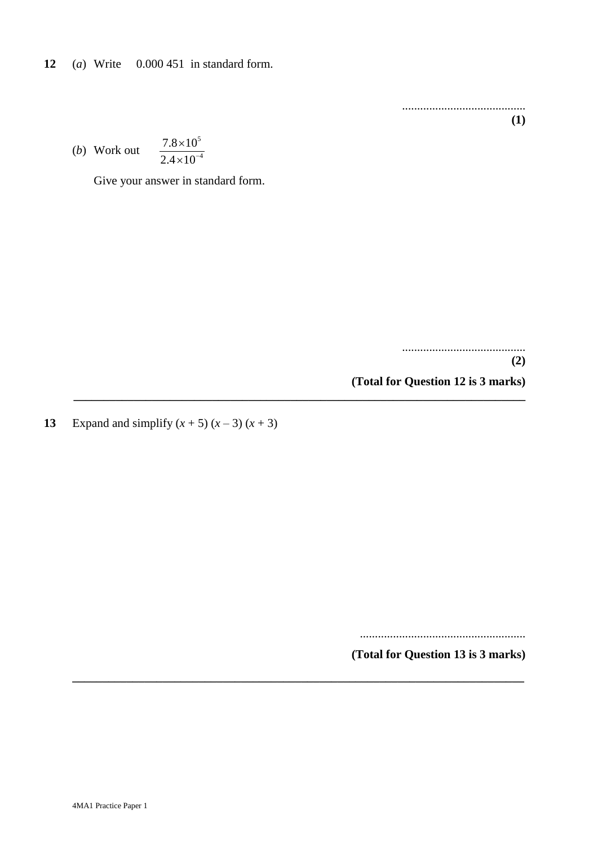**12** (*a*) Write 0.000 451 in standard form.

......................................... **(1)**

(*b*) Work out 5 4  $7.8 \times 10$  $2.4 \times 10^{-7}$  $\times$  $\times$ 

Give your answer in standard form.

.........................................

**(2) (Total for Question 12 is 3 marks)**

**13** Expand and simplify  $(x + 5) (x - 3) (x + 3)$ 

**\_\_\_\_\_\_\_\_\_\_\_\_\_\_\_\_\_\_\_\_\_\_\_\_\_\_\_\_\_\_\_\_\_\_\_\_\_\_\_\_\_\_\_\_\_\_\_\_\_\_\_\_\_\_\_\_\_\_\_\_\_\_\_\_\_\_\_\_\_\_\_\_\_\_\_**

**\_\_\_\_\_\_\_\_\_\_\_\_\_\_\_\_\_\_\_\_\_\_\_\_\_\_\_\_\_\_\_\_\_\_\_\_\_\_\_\_\_\_\_\_\_\_\_\_\_\_\_\_\_\_\_\_\_\_\_\_\_\_\_\_\_\_\_\_\_\_\_\_\_\_\_**

.......................................................

**(Total for Question 13 is 3 marks)**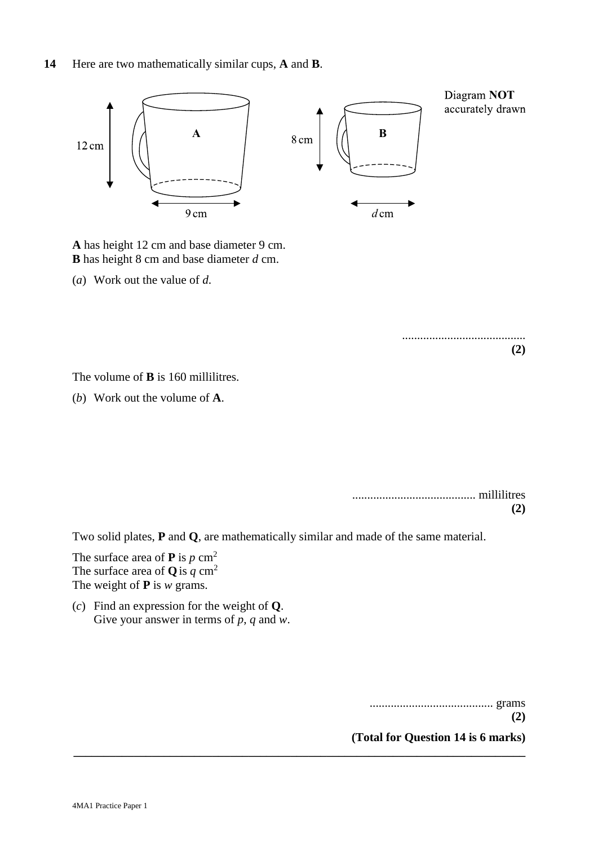

**B** has height 8 cm and base diameter  $d$  cm. **A** has height 12 cm and base diameter 9 cm.

*d* (*a*) Work out the value of *d*.

......................................... **(2)**

**B** The volume of **B** is 160 millilitres.

( $b$ ) Work out the volume of  $A$ .

**(2)** ......................................... millilitres **(2)**

**P** *p* Two solid plates, **P** and **Q**, are mathematically similar and made of the same material.

**\_\_\_\_\_\_\_\_\_\_\_\_\_\_\_\_\_\_\_\_\_\_\_\_\_\_\_\_\_\_\_\_\_\_\_\_\_\_\_\_\_\_\_\_\_\_\_\_\_\_\_\_\_\_\_\_\_\_\_\_\_\_\_\_\_\_\_\_\_\_\_\_\_\_\_**

The surface area of **P** is  $p$  cm<sup>2</sup> The surface area of **Q** is  $q \text{ cm}^2$ The weight of **P** is *w* grams.

 $p(c)$  Find an expression for the weight of **Q**. Give your answer in terms of *p*, *q* and *w*.

......................................... grams

**(2) (Total for Question 14 is 6 marks)**

**(2)**

4MA1 Practice Paper 1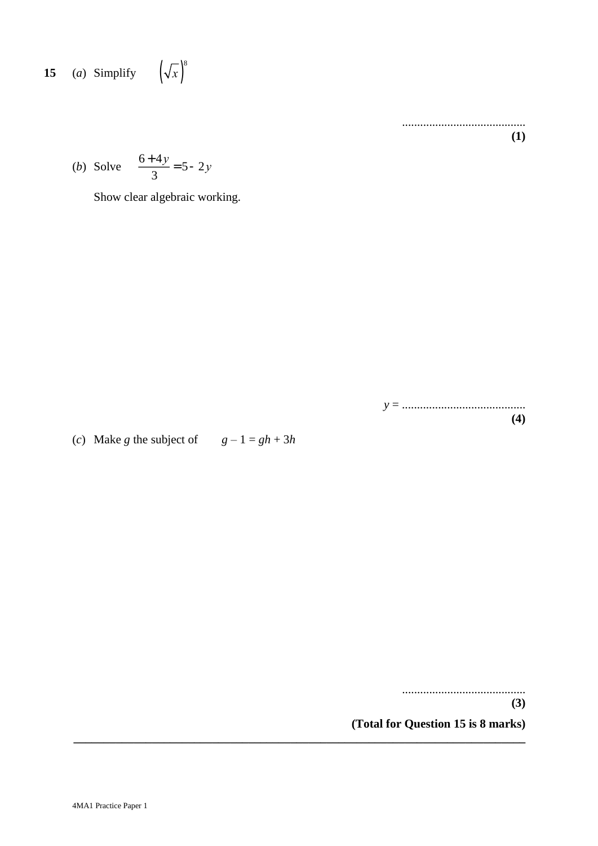**15** (a) Simplify 
$$
\left(\sqrt{x}\right)^8
$$

......................................... **(1)**

(*b*) Solve 
$$
\frac{6+4y}{3} = 5 - 2y
$$

Show clear algebraic working.

*y* = ......................................... **(4)**

(*c*) Make *g* the subject of  $g - 1 = gh + 3h$ 

.........................................

**(3)**

**(Total for Question 15 is 8 marks)**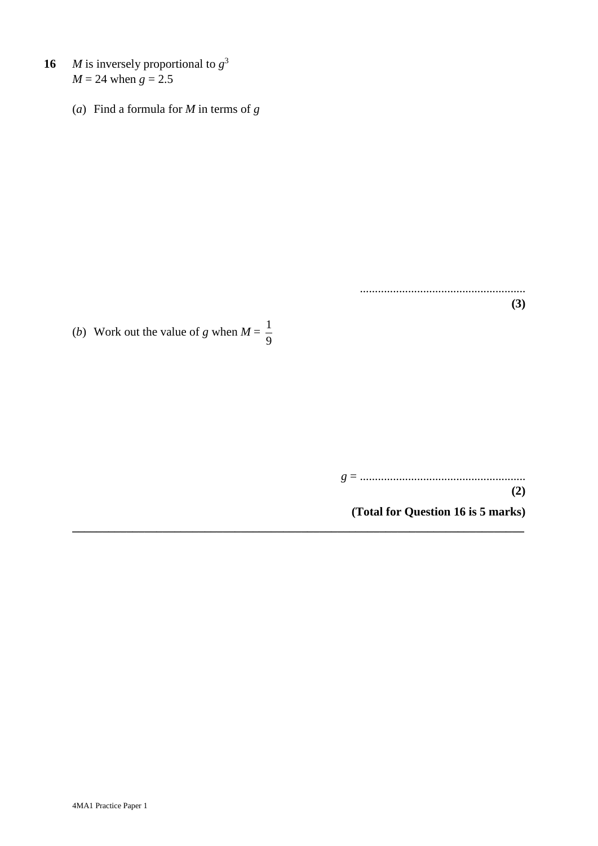- **16** *M* is inversely proportional to  $g^3$  $M = 24$  when  $g = 2.5$ 
	- (*a*) Find a formula for *M* in terms of *g*

(*b*) Work out the value of *g* when  $M = \frac{1}{2}$ 9

> *g* = ....................................................... **(2)**

.......................................................

**(3)**

**(Total for Question 16 is 5 marks)**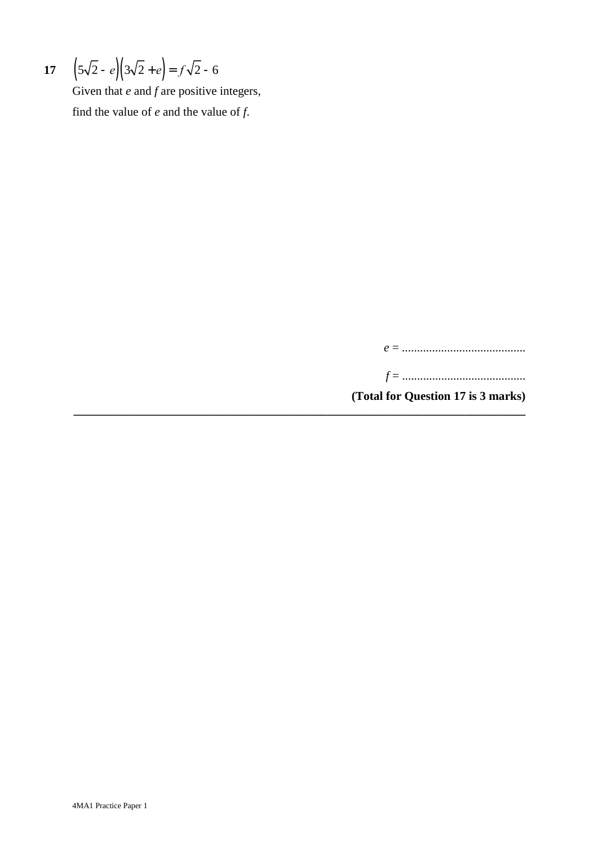17 
$$
\left(5\sqrt{2} - e\right)\left(3\sqrt{2} + e\right) = f\sqrt{2} - 6
$$

Given that *e* and *f* are positive integers, find the value of *e* and the value of *f*.

*e* = .........................................

*f* = .........................................

**(Total for Question 17 is 3 marks)**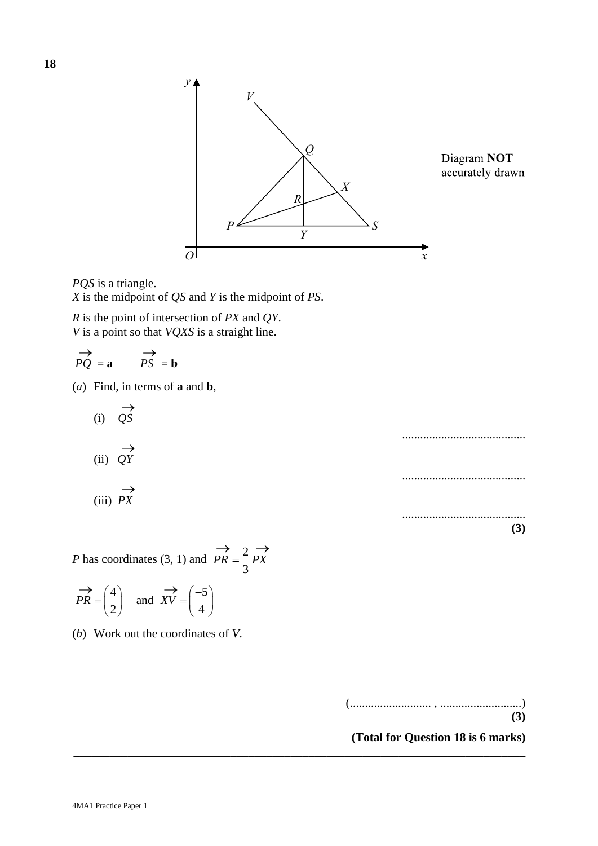

*PQS PQS* is a triangle.  $\widetilde{X}$  *X* is the midpoint of *QS* and *Y* is the midpoint of *PS*.

*R* is the point of intersection of *PX* and *QY*. *V* is a point so that *VQXS* is a straight line.

$$
\overrightarrow{PQ} = \mathbf{a} \qquad \overrightarrow{PS} = \mathbf{b}
$$

(*a*) Find, in terms of **a** and **b**,

(i) 
$$
\overrightarrow{QS}
$$
  
\n(ii)  $\overrightarrow{QY}$ 

$$
\underset{\text{(iii)} \ }{\longrightarrow} \overrightarrow{PX}
$$

2 *P* has coordinates (3, 1) and  $PR = \frac{2}{3}$ 3  $PR = \frac{2}{3}PX$  $\rightarrow$  2  $\rightarrow$ 

$$
\overrightarrow{PR} = \begin{pmatrix} 4 \\ 2 \end{pmatrix}
$$
 and  $\overrightarrow{XV} = \begin{pmatrix} -5 \\ 4 \end{pmatrix}$ 

(*b*) Work out the coordinates of *V*.

(........................... , ...........................)

**(3)**

.........................................

.........................................

.........................................

**(3)**

**(Total for Question 18 is 6 marks) \_\_\_\_\_\_\_\_\_\_\_\_\_\_\_\_\_\_\_\_\_\_\_\_\_\_\_\_\_\_\_\_\_\_\_\_\_\_\_\_\_\_\_\_\_\_\_\_\_\_\_\_\_\_\_\_\_\_\_\_\_\_\_\_\_\_\_\_\_\_\_\_\_\_\_**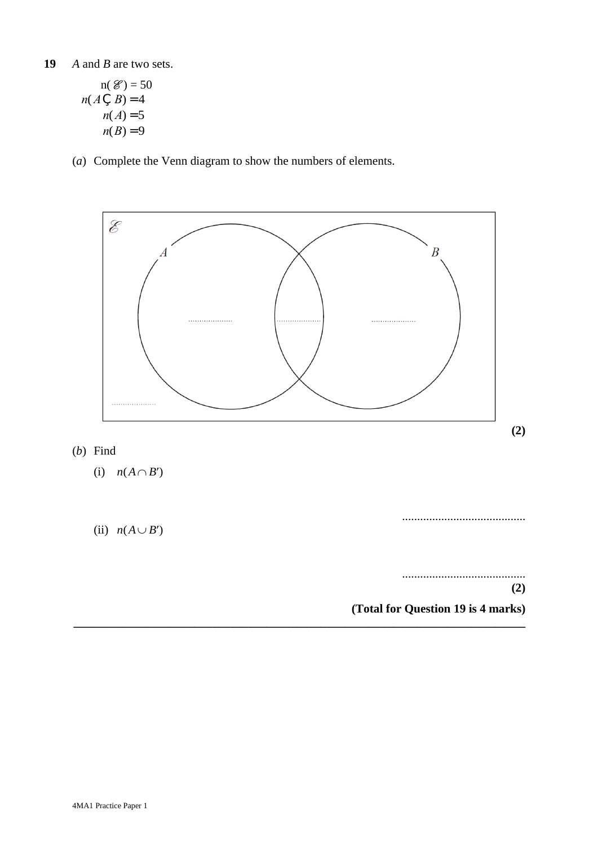$$
n(\mathcal{E}) = 50
$$
  

$$
n(A \subsetneq B) = 4
$$
  

$$
n(A) = 5
$$
  

$$
n(B) = 9
$$

(*a*) Complete the Venn diagram to show the numbers of elements.

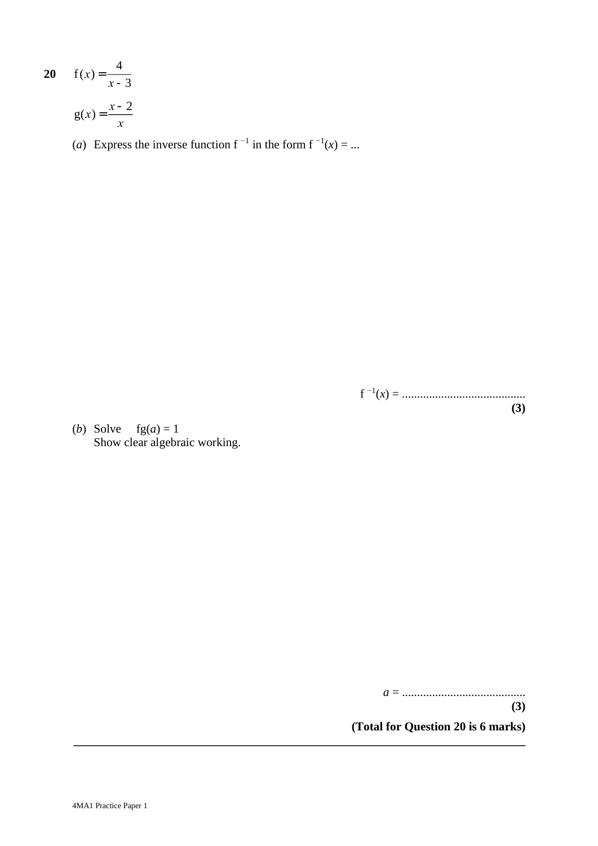$$
20 \t f(x) = \frac{4}{x-3}
$$

$$
g(x) = \frac{x-2}{x}
$$

(*a*) Express the inverse function  $f^{-1}$  in the form  $f^{-1}(x) = ...$ 

f −1 (*x*) = ......................................... **(3)**

(*b*) Solve  $fg(a) = 1$ Show clear algebraic working.

*a* = .........................................

**(3)**

**(Total for Question 20 is 6 marks)**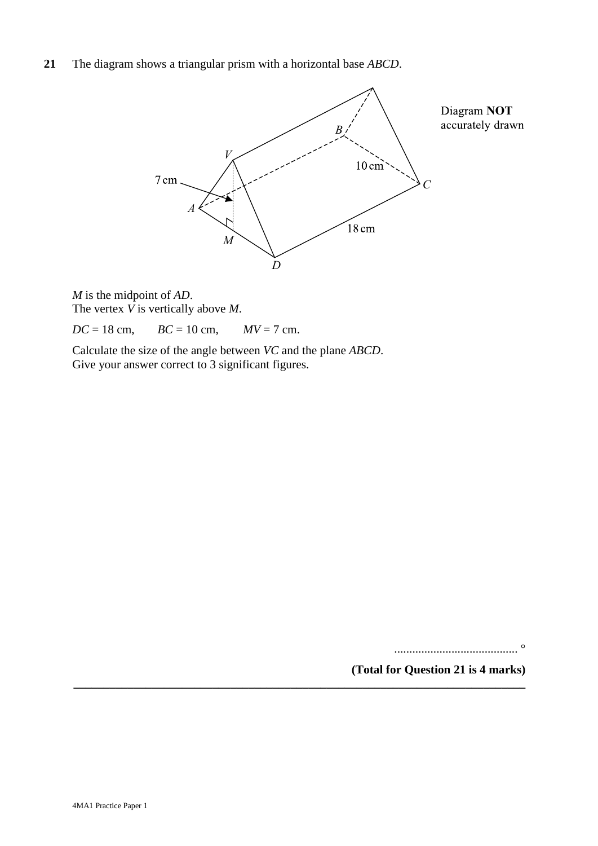**21** The diagram shows a triangular prism with a horizontal base *ABCD*.



*M AD M* is the midpoint of *AD*. *V M* The vertex *V* is vertically above *M*.

 $DC = 18$  cm,  $BC = 10$  cm,  $MV = 7$  cm.

Calculate the size of the angle between *VC* and the plane *ABCD*. Give your answer correct to 3 significant figures.

**\_\_\_\_\_\_\_\_\_\_\_\_\_\_\_\_\_\_\_\_\_\_\_\_\_\_\_\_\_\_\_\_\_\_\_\_\_\_\_\_\_\_\_\_\_\_\_\_\_\_\_\_\_\_\_\_\_\_\_\_\_\_\_\_\_\_\_\_\_\_\_\_\_\_\_**

......................................... °

**(Total for Question 21 is 4 marks)**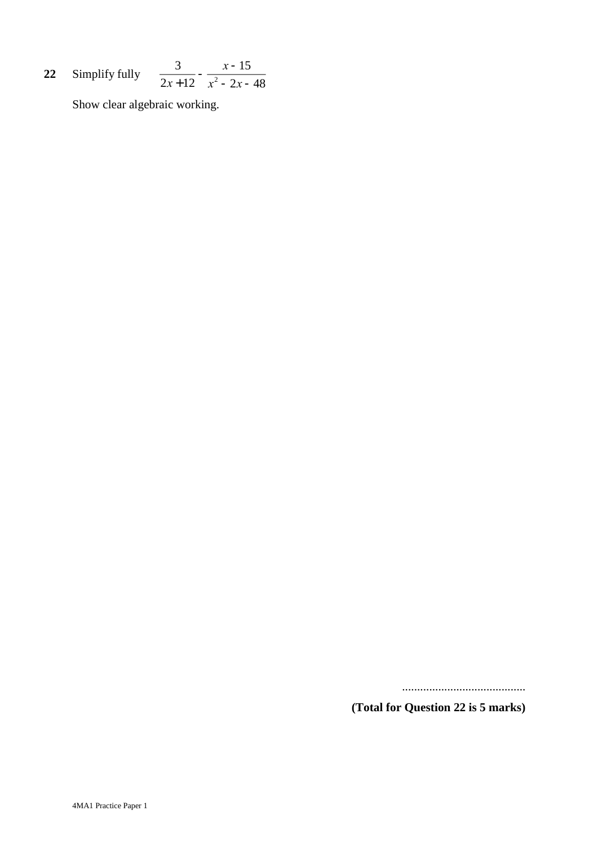**22** Simplify fully 3  $2x + 12$  $-\frac{x-15}{2}$  $x^2 - 2x - 48$ 

Show clear algebraic working.

.........................................

**(Total for Question 22 is 5 marks)**